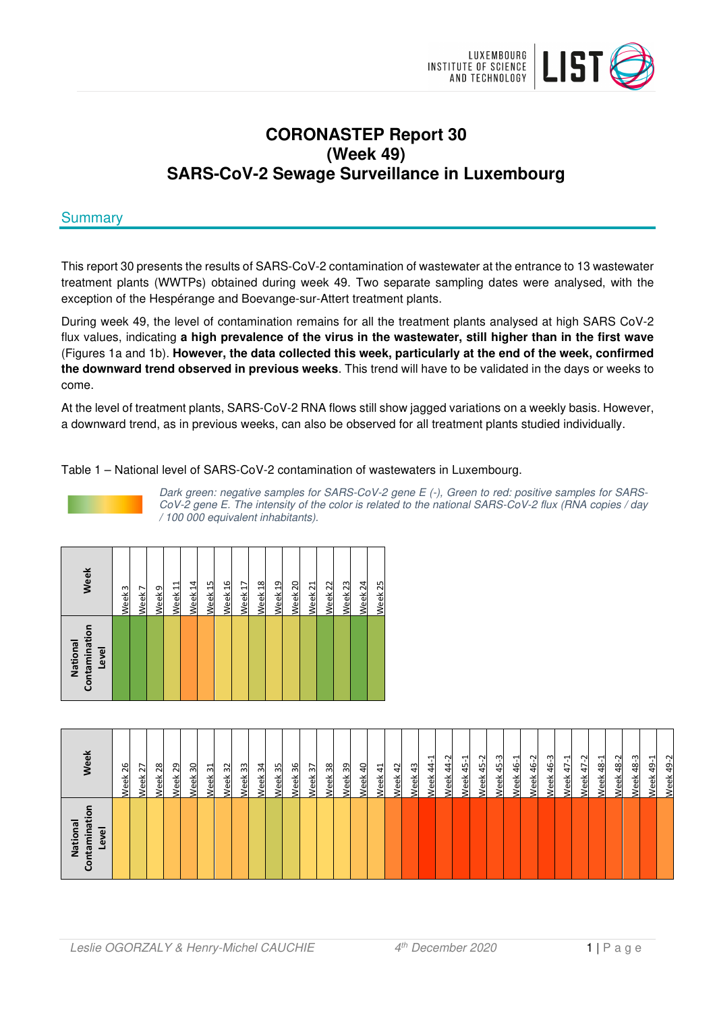

# **CORONASTEP Report 30 (Week 49) SARS-CoV-2 Sewage Surveillance in Luxembourg**

# **Summary**

This report 30 presents the results of SARS-CoV-2 contamination of wastewater at the entrance to 13 wastewater treatment plants (WWTPs) obtained during week 49. Two separate sampling dates were analysed, with the exception of the Hespérange and Boevange-sur-Attert treatment plants.

During week 49, the level of contamination remains for all the treatment plants analysed at high SARS CoV-2 flux values, indicating **a high prevalence of the virus in the wastewater, still higher than in the first wave** (Figures 1a and 1b). **However, the data collected this week, particularly at the end of the week, confirmed the downward trend observed in previous weeks**. This trend will have to be validated in the days or weeks to come.

At the level of treatment plants, SARS-CoV-2 RNA flows still show jagged variations on a weekly basis. However, a downward trend, as in previous weeks, can also be observed for all treatment plants studied individually.

Table 1 – National level of SARS-CoV-2 contamination of wastewaters in Luxembourg.



Dark green: negative samples for SARS-CoV-2 gene E (-), Green to red: positive samples for SARS-CoV-2 gene E. The intensity of the color is related to the national SARS-CoV-2 flux (RNA copies / day / 100 000 equivalent inhabitants).

| Contamination<br>National<br>Level | Week               |
|------------------------------------|--------------------|
|                                    | Week 3             |
|                                    | Week <sub>7</sub>  |
|                                    | Week <sub>9</sub>  |
|                                    | Week 11            |
|                                    | Week <sub>14</sub> |
|                                    | Week <sub>15</sub> |
|                                    | Week 16            |
|                                    | Week <sub>17</sub> |
|                                    | Week <sub>18</sub> |
|                                    | Week <sub>19</sub> |
|                                    | Week <sub>20</sub> |
|                                    | Week <sub>21</sub> |
|                                    | Week <sub>22</sub> |
|                                    | Week <sub>23</sub> |
|                                    | Week <sub>24</sub> |
|                                    | Week <sub>25</sub> |

| o<br>Ξ<br>National<br>ntamina<br>Level | eek                                                |
|----------------------------------------|----------------------------------------------------|
|                                        | 26<br>Week                                         |
|                                        | $\overline{z}$<br>Week                             |
|                                        | 28<br>Week                                         |
|                                        | 29<br>Week                                         |
|                                        | Week <sub>30</sub>                                 |
|                                        | Week 31                                            |
|                                        | Week 32                                            |
|                                        | Week <sub>33</sub>                                 |
|                                        | Week 34                                            |
|                                        | Week <sub>35</sub>                                 |
|                                        | Week 36                                            |
|                                        | Week <sub>37</sub>                                 |
|                                        | 38<br>Week                                         |
|                                        | 39<br>Week                                         |
|                                        | $\overline{a}$<br>veek                             |
|                                        | $\Delta$<br>Veek                                   |
|                                        | $\overline{4}$<br>veek                             |
|                                        | 43<br>Neek                                         |
|                                        | ᅻ<br>4<br>Week.                                    |
|                                        | N<br>Week 44                                       |
|                                        | ᆋ<br>Week 45-                                      |
|                                        | Week 45-2                                          |
|                                        | Week 45-3                                          |
|                                        | Week 46-1                                          |
|                                        | <b>Neek 46-2</b>                                   |
|                                        | 46-3<br>Week                                       |
|                                        | $47 - 1$<br>Week.                                  |
|                                        | Week 47-2                                          |
|                                        | ٣<br>$\frac{8}{3}$<br>Week                         |
|                                        | $\sim$<br>48<br>Veek                               |
|                                        | ന<br>$\frac{8}{3}$<br><u>leek</u>                  |
|                                        | $\overline{\phantom{0}}$<br>$\overline{a}$<br>/eek |
|                                        | $\sim$<br>49<br><b>Neek</b>                        |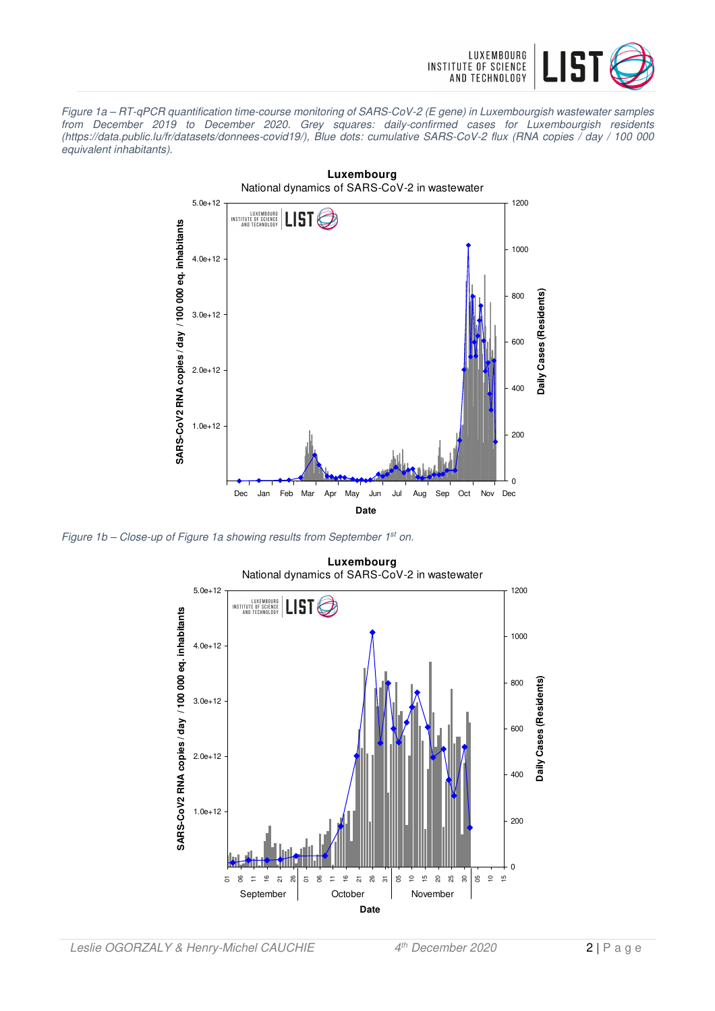

Figure 1a – RT-qPCR quantification time-course monitoring of SARS-CoV-2 (E gene) in Luxembourgish wastewater samples from December 2019 to December 2020. Grey squares: daily-confirmed cases for Luxembourgish residents (https://data.public.lu/fr/datasets/donnees-covid19/), Blue dots: cumulative SARS-CoV-2 flux (RNA copies / day / 100 000 equivalent inhabitants).



Figure 1b - Close-up of Figure 1a showing results from September 1st on.

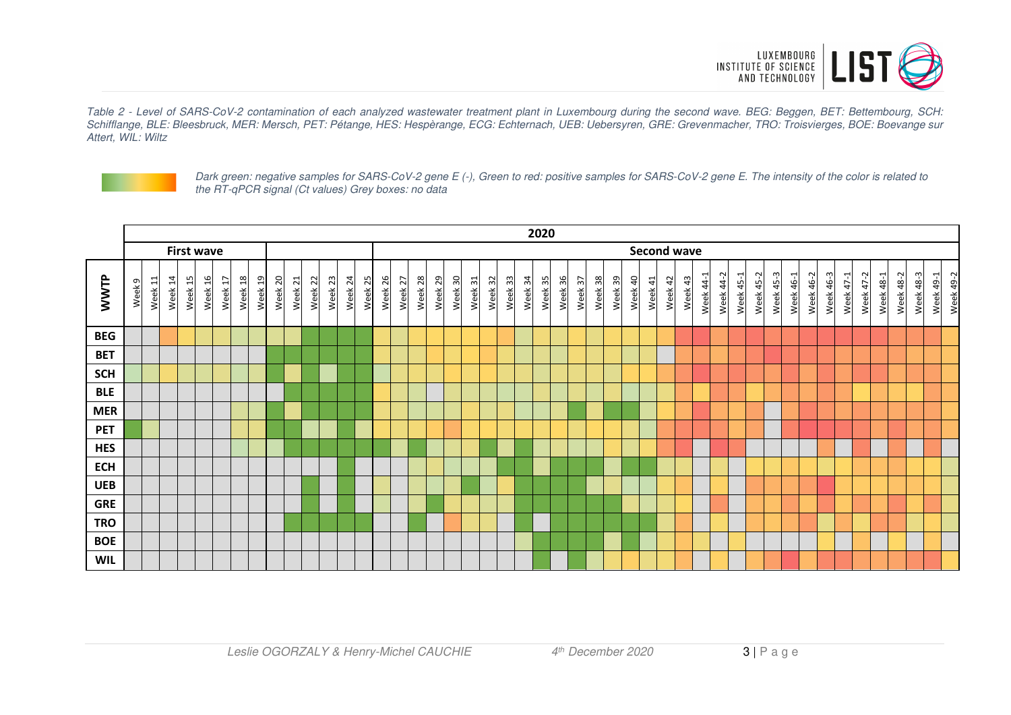

Table 2 - Level of SARS-CoV-2 contamination of each analyzed wastewater treatment plant in Luxembourg during the second wave. BEG: Beggen, BET: Bettembourg, SCH: Schifflange, BLE: Bleesbruck, MER: Mersch, PET: Pétange, HES: Hespèrange, ECG: Echternach, UEB: Uebersyren, GRE: Grevenmacher, TRO: Troisvierges, BOE: Boevange sur Attert, WIL: Wiltz



Dark green: negative samples for SARS-CoV-2 gene E (-), Green to red: positive samples for SARS-CoV-2 gene E. The intensity of the color is related to the RT-qPCR signal (Ct values) Grey boxes: no data

|            | 2020              |           |         |            |                        |                          |                         |                        |         |         |         |                    |         |         |         |         |         |         |         |         |         |         |         |         |         |         |         |                    |         |         |         |         |           |           |                         |           |           |           |                     |           |           |           |           |                  |           |           |           |
|------------|-------------------|-----------|---------|------------|------------------------|--------------------------|-------------------------|------------------------|---------|---------|---------|--------------------|---------|---------|---------|---------|---------|---------|---------|---------|---------|---------|---------|---------|---------|---------|---------|--------------------|---------|---------|---------|---------|-----------|-----------|-------------------------|-----------|-----------|-----------|---------------------|-----------|-----------|-----------|-----------|------------------|-----------|-----------|-----------|
|            | <b>First wave</b> |           |         |            |                        |                          |                         |                        |         |         |         |                    |         |         |         |         |         |         |         |         |         |         |         |         |         |         |         | <b>Second wave</b> |         |         |         |         |           |           |                         |           |           |           |                     |           |           |           |           |                  |           |           |           |
| WWTP       | Week <sub>9</sub> | 급<br>Week | Week 14 | 15<br>Week | $\frac{1}{6}$<br>Week: | $\overline{17}$<br>Week: | $\frac{8}{18}$<br>Week: | $\overline{a}$<br>Week | Week 20 | Week 21 | Week 22 | Week <sub>23</sub> | Week 24 | Week 25 | Week 26 | Week 27 | Week 28 | Week 29 | Week 30 | Week 31 | Week 32 | Week 33 | Week 34 | Week 35 | Week 36 | Week 37 | Week 38 | Week 39            | Week 40 | Week 41 | Week 42 | Week 43 | Week 44-1 | Week 44-2 | $45 - 1$<br><b>Week</b> | Week 45-2 | Week 45-3 | Week 46-1 | 46-2<br><b>Week</b> | Week 46-3 | Week 47-1 | Week 47-2 | Week 48-1 | <b>Week 48-2</b> | Week 48-3 | Week 49-1 | Week 49-2 |
| <b>BEG</b> |                   |           |         |            |                        |                          |                         |                        |         |         |         |                    |         |         |         |         |         |         |         |         |         |         |         |         |         |         |         |                    |         |         |         |         |           |           |                         |           |           |           |                     |           |           |           |           |                  |           |           |           |
| <b>BET</b> |                   |           |         |            |                        |                          |                         |                        |         |         |         |                    |         |         |         |         |         |         |         |         |         |         |         |         |         |         |         |                    |         |         |         |         |           |           |                         |           |           |           |                     |           |           |           |           |                  |           |           |           |
| <b>SCH</b> |                   |           |         |            |                        |                          |                         |                        |         |         |         |                    |         |         |         |         |         |         |         |         |         |         |         |         |         |         |         |                    |         |         |         |         |           |           |                         |           |           |           |                     |           |           |           |           |                  |           |           |           |
| <b>BLE</b> |                   |           |         |            |                        |                          |                         |                        |         |         |         |                    |         |         |         |         |         |         |         |         |         |         |         |         |         |         |         |                    |         |         |         |         |           |           |                         |           |           |           |                     |           |           |           |           |                  |           |           |           |
| <b>MER</b> |                   |           |         |            |                        |                          |                         |                        |         |         |         |                    |         |         |         |         |         |         |         |         |         |         |         |         |         |         |         |                    |         |         |         |         |           |           |                         |           |           |           |                     |           |           |           |           |                  |           |           |           |
| <b>PET</b> |                   |           |         |            |                        |                          |                         |                        |         |         |         |                    |         |         |         |         |         |         |         |         |         |         |         |         |         |         |         |                    |         |         |         |         |           |           |                         |           |           |           |                     |           |           |           |           |                  |           |           |           |
| <b>HES</b> |                   |           |         |            |                        |                          |                         |                        |         |         |         |                    |         |         |         |         |         |         |         |         |         |         |         |         |         |         |         |                    |         |         |         |         |           |           |                         |           |           |           |                     |           |           |           |           |                  |           |           |           |
| <b>ECH</b> |                   |           |         |            |                        |                          |                         |                        |         |         |         |                    |         |         |         |         |         |         |         |         |         |         |         |         |         |         |         |                    |         |         |         |         |           |           |                         |           |           |           |                     |           |           |           |           |                  |           |           |           |
| <b>UEB</b> |                   |           |         |            |                        |                          |                         |                        |         |         |         |                    |         |         |         |         |         |         |         |         |         |         |         |         |         |         |         |                    |         |         |         |         |           |           |                         |           |           |           |                     |           |           |           |           |                  |           |           |           |
| <b>GRE</b> |                   |           |         |            |                        |                          |                         |                        |         |         |         |                    |         |         |         |         |         |         |         |         |         |         |         |         |         |         |         |                    |         |         |         |         |           |           |                         |           |           |           |                     |           |           |           |           |                  |           |           |           |
| <b>TRO</b> |                   |           |         |            |                        |                          |                         |                        |         |         |         |                    |         |         |         |         |         |         |         |         |         |         |         |         |         |         |         |                    |         |         |         |         |           |           |                         |           |           |           |                     |           |           |           |           |                  |           |           |           |
| <b>BOE</b> |                   |           |         |            |                        |                          |                         |                        |         |         |         |                    |         |         |         |         |         |         |         |         |         |         |         |         |         |         |         |                    |         |         |         |         |           |           |                         |           |           |           |                     |           |           |           |           |                  |           |           |           |
| <b>WIL</b> |                   |           |         |            |                        |                          |                         |                        |         |         |         |                    |         |         |         |         |         |         |         |         |         |         |         |         |         |         |         |                    |         |         |         |         |           |           |                         |           |           |           |                     |           |           |           |           |                  |           |           |           |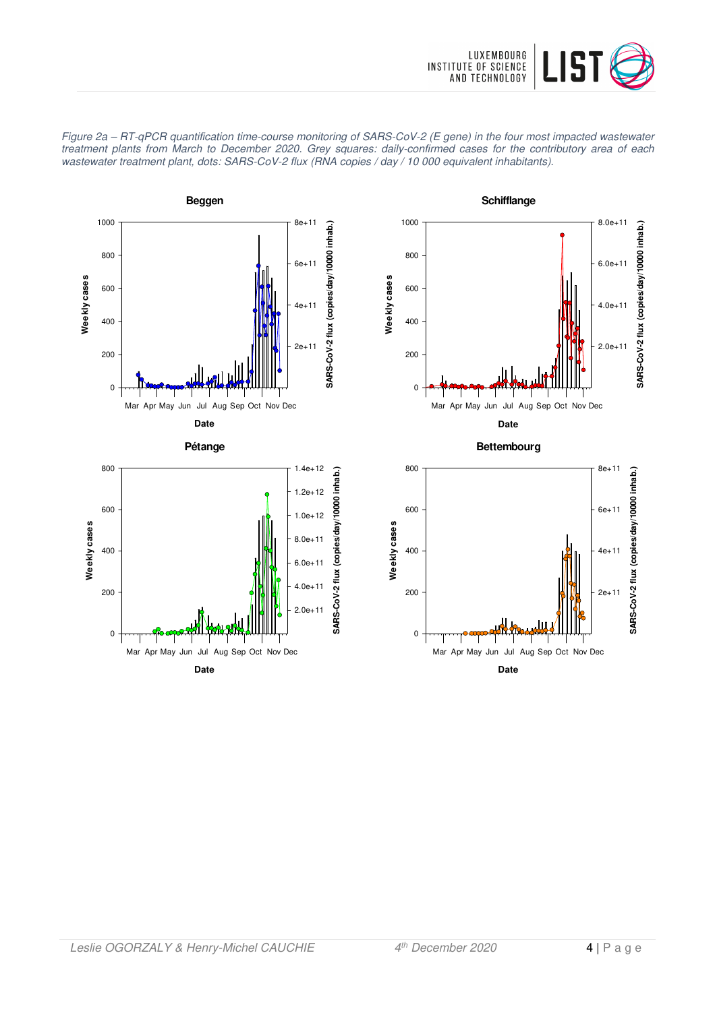

**SARS-CoV-2 flux (copies/day/10000 inhab.)**

SARS-CoV-2 flux (copies/day/10000 inhab.)

2.0e+11

 $4.0e+11$ 

6.0e+11

8.0e+11



8.0e+11 1.0e+12 1.2e+12 1.4e+12

Figure 2a – RT-qPCR quantification time-course monitoring of SARS-CoV-2 (E gene) in the four most impacted wastewater treatment plants from March to December 2020. Grey squares: daily-confirmed cases for the contributory area of each wastewater treatment plant, dots: SARS-CoV-2 flux (RNA copies / day / 10 000 equivalent inhabitants).





600

800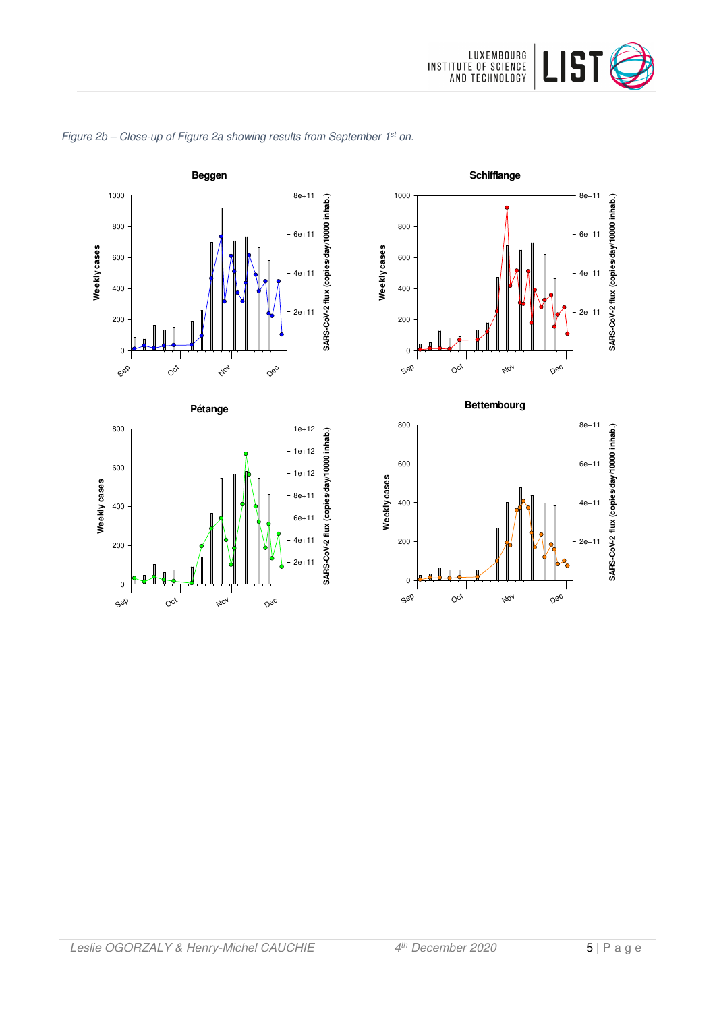

**SARS-CoV-2 flux (copies/day/10000 inhab.)**

**SARS-CoV-2 flux (copies/day/10000 inhab.)**



Figure 2b - Close-up of Figure 2a showing results from September 1st on.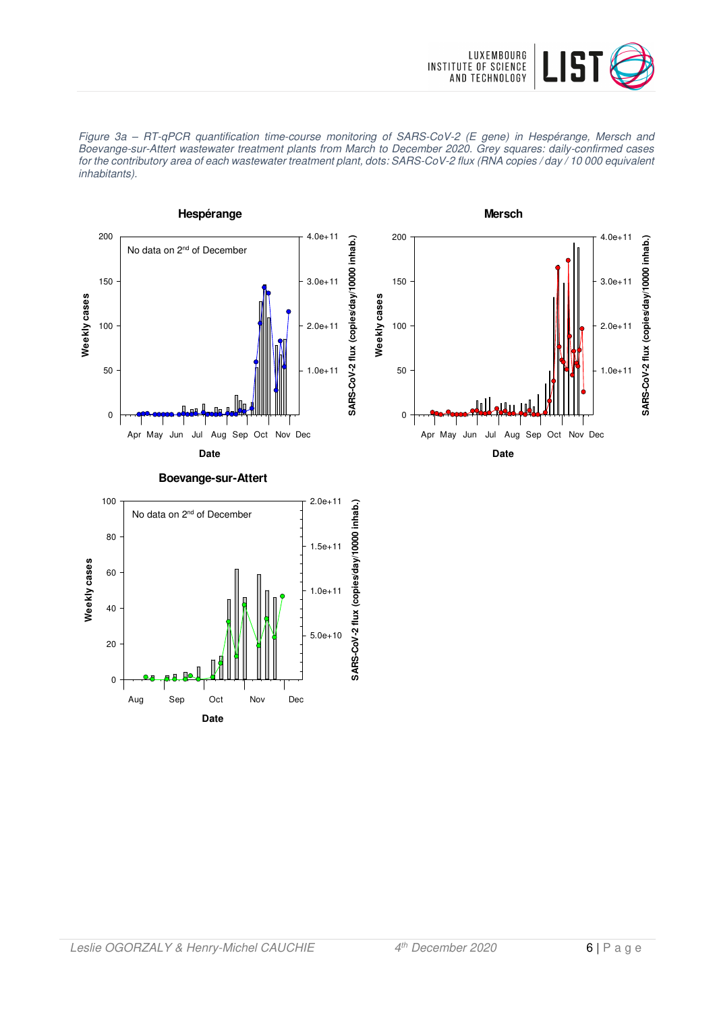





**Date** Aug Sep Oct Nov Dec

0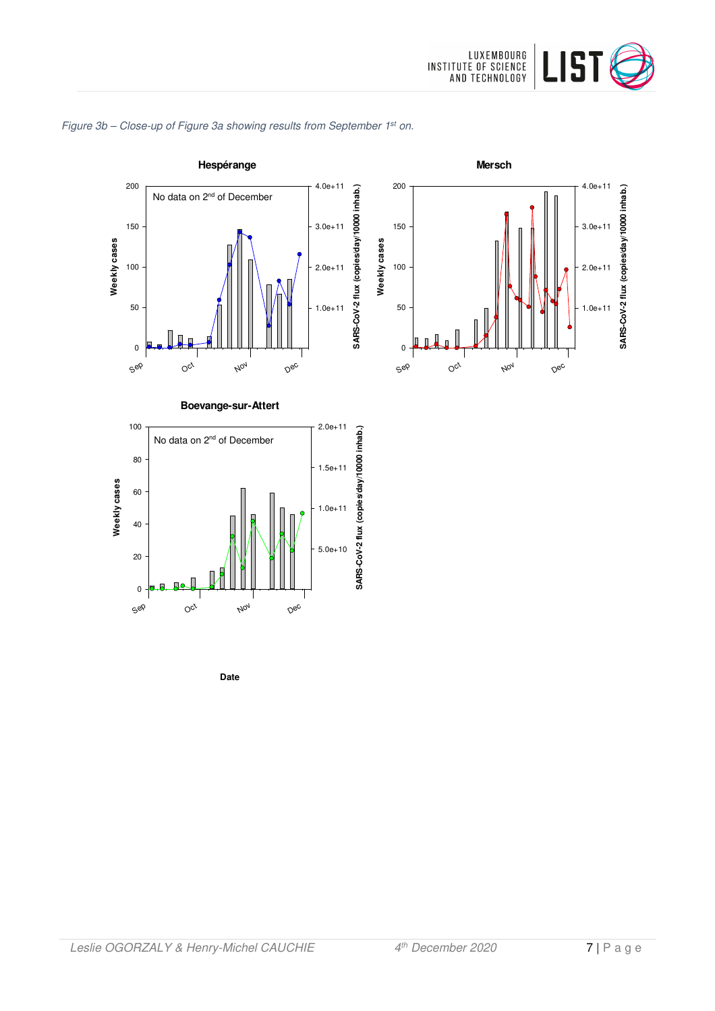







**Date**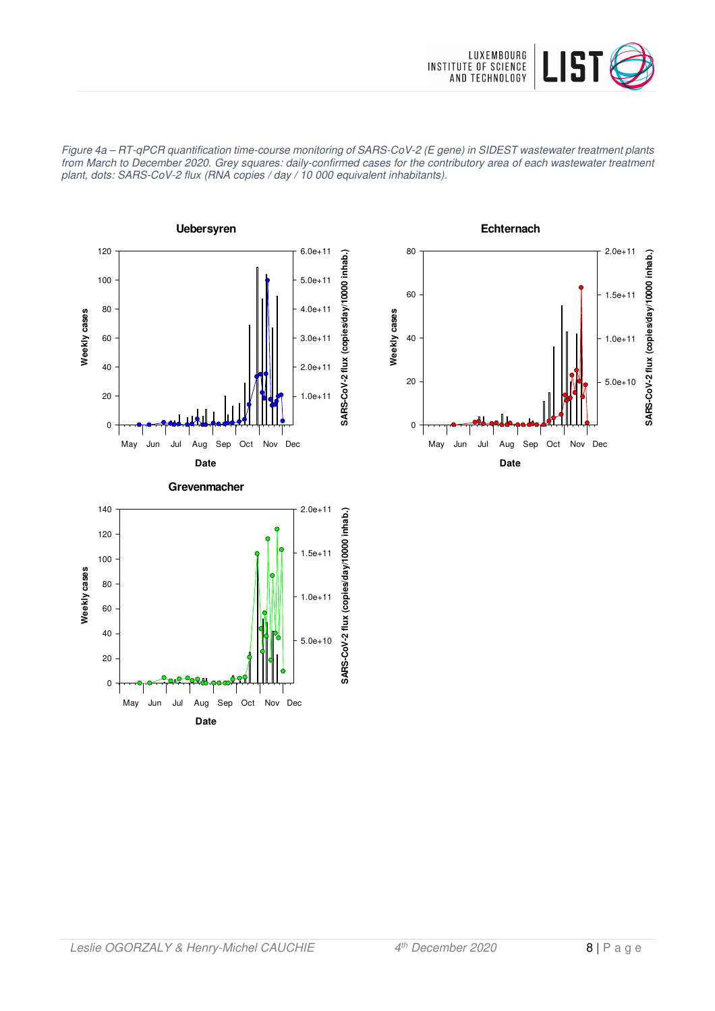

Figure 4a – RT-qPCR quantification time-course monitoring of SARS-CoV-2 (E gene) in SIDEST wastewater treatment plants from March to December 2020. Grey squares: daily-confirmed cases for the contributory area of each wastewater treatment plant, dots: SARS-CoV-2 flux (RNA copies / day / 10 000 equivalent inhabitants).





**Date** May Jun Jul Aug Sep Oct Nov Dec

0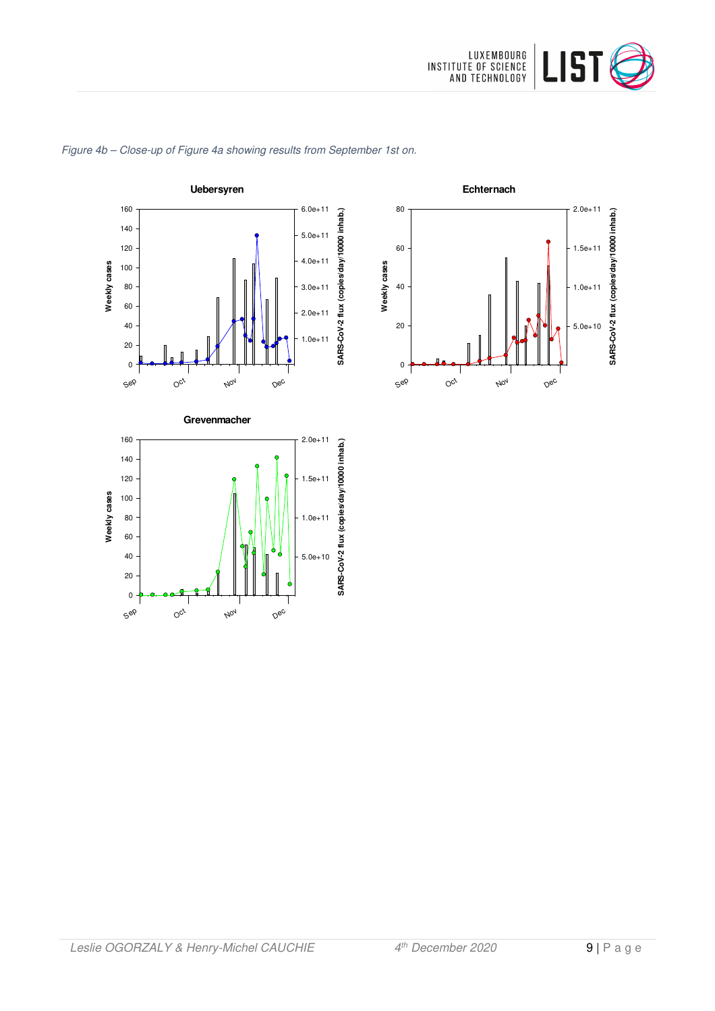

**Echternach**

Sep

0

20

40

60

80

**Weekly cases**

Weekly cases

 $O_{C_f}$ 

Nov

Dec

**SARS-CoV-2 flux (copies/day/10000 inhab.)**

SARS-CoV-2 flux (copies/day/10000 inhab.)

5.0e+10

1.0e+11

1.5e+11

2.0e+11



#### Figure 4b – Close-up of Figure 4a showing results from September 1st on.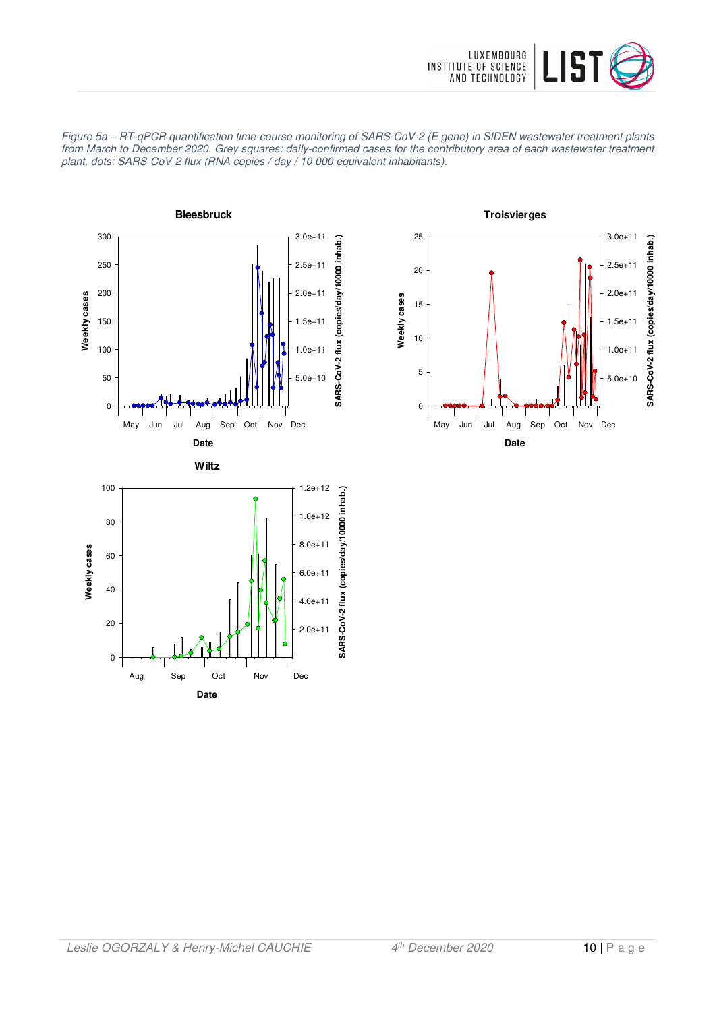



Figure 5a – RT-qPCR quantification time-course monitoring of SARS-CoV-2 (E gene) in SIDEN wastewater treatment plants from March to December 2020. Grey squares: daily-confirmed cases for the contributory area of each wastewater treatment plant, dots: SARS-CoV-2 flux (RNA copies / day / 10 000 equivalent inhabitants).

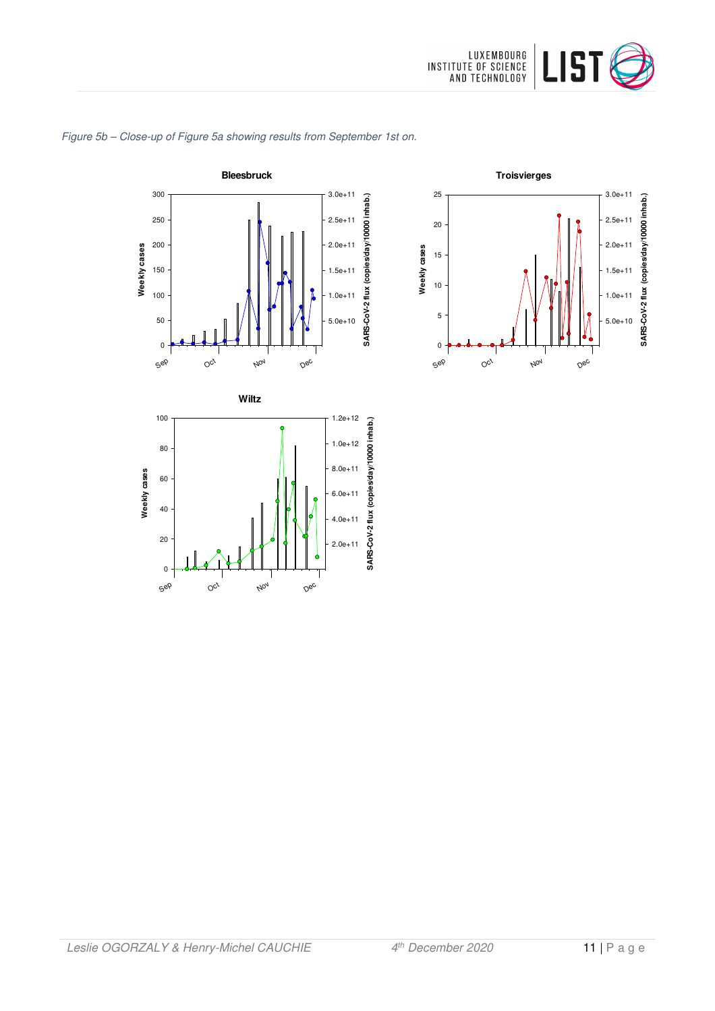

#### Figure 5b – Close-up of Figure 5a showing results from September 1st on.



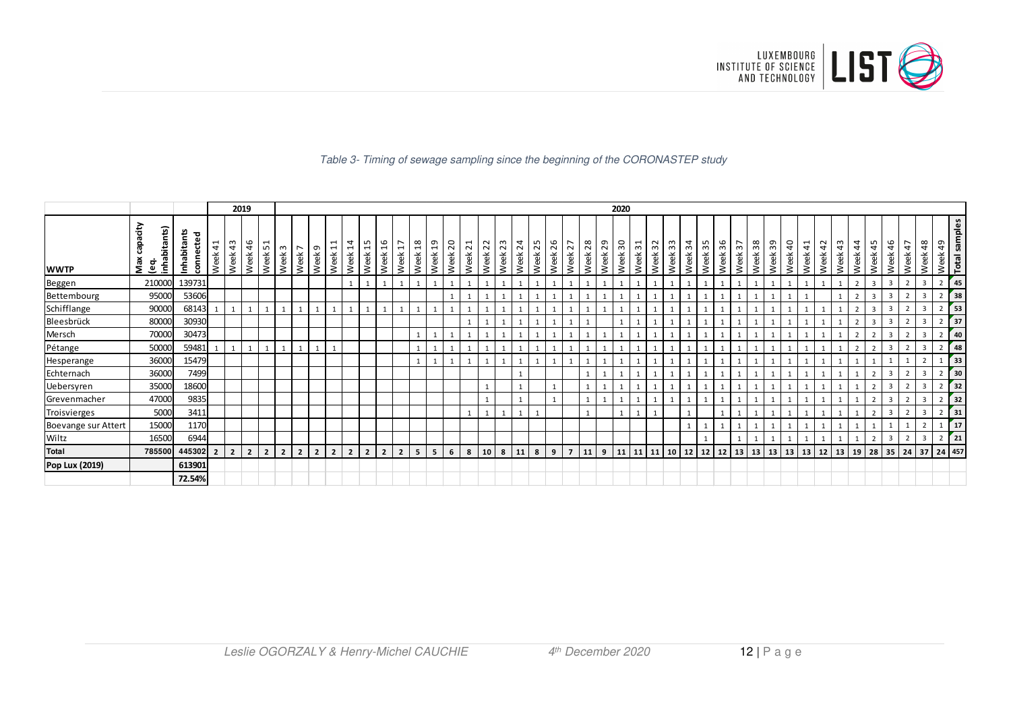

#### Table 3- Timing of sewage sampling since the beginning of the CORONASTEP study

|                     |                                          |                          |                                                              |                | 2019           |                |                |                        |                |                                                             |                        |                                       |                       |                                                    |                 |                       |            |                                            |                 |            |            |            |            |                |            |                     | 2020                    |         |                            |                                 |                        |              |                           |                      |            |                     |                        |            |            |                |            |                         |                         |                |                          |                  |                      |
|---------------------|------------------------------------------|--------------------------|--------------------------------------------------------------|----------------|----------------|----------------|----------------|------------------------|----------------|-------------------------------------------------------------|------------------------|---------------------------------------|-----------------------|----------------------------------------------------|-----------------|-----------------------|------------|--------------------------------------------|-----------------|------------|------------|------------|------------|----------------|------------|---------------------|-------------------------|---------|----------------------------|---------------------------------|------------------------|--------------|---------------------------|----------------------|------------|---------------------|------------------------|------------|------------|----------------|------------|-------------------------|-------------------------|----------------|--------------------------|------------------|----------------------|
| <b>WWTP</b>         | capacity<br>inhabitants)<br>Max<br>္မ်ိဳ | Inhabitants<br>connected | $\overline{\phantom{0}}$<br>$\overline{\mathcal{A}}$<br>Week | 43<br>Week     | 46<br>Week     | 5<br>Week      | ო<br>Week      | $\overline{ }$<br>Week | G<br>Week      | $\mathbf{\overline{d}}$<br>$\overline{\phantom{0}}$<br>Week | $\overline{1}$<br>Week | "<br>$\overline{\phantom{0}}$<br>Week | $\frac{6}{1}$<br>Week | $\overline{\phantom{0}}$<br>$\blacksquare$<br>Week | $^{28}$<br>Week | $\frac{9}{1}$<br>Week | 20<br>Week | $\overline{\phantom{0}}$<br>$\sim$<br>Week | 22<br>Week      | 23<br>Week | 24<br>Week | 25<br>Week | 26<br>Week | 27<br>Week     | 28<br>Week | െ<br>$\sim$<br>Week | $\overline{30}$<br>Week | Week 31 | $\sim$<br>$\omega$<br>Week | S<br>$\mathbf{\hat{z}}$<br>Week | $\overline{3}$<br>Week | 35<br>Week   | 6<br>$\mathsf{c}$<br>Week | Week 37              | 38<br>Week | ᡡ<br>$\sim$<br>Week | $\overline{a}$<br>Week | 41<br>Week | 42<br>Week | ന<br>4<br>Week | 44<br>Week | w<br>4<br>Week          | 46<br>Week              | 47<br>Week     | 48<br>Week               | Week 49          | <b>Total samples</b> |
| Beggen              | 210000                                   | 139731                   |                                                              |                |                |                |                |                        |                |                                                             |                        |                                       |                       | $\mathbf{1}$                                       |                 |                       |            |                                            | $\mathbf{1}$    |            |            |            |            |                |            |                     |                         |         |                            |                                 |                        | $\mathbf{1}$ |                           |                      |            |                     |                        |            |            |                |            | $\overline{\mathbf{3}}$ | $\overline{\mathbf{3}}$ |                | 3                        | $2 \mid 45$      |                      |
| Bettembourg         | 95000                                    | 53606                    |                                                              |                |                |                |                |                        |                |                                                             |                        |                                       |                       |                                                    |                 |                       |            |                                            |                 |            |            |            |            |                |            |                     |                         |         |                            |                                 |                        |              |                           |                      |            |                     |                        |            |            |                |            |                         |                         |                | 3                        | 2 <sup>1</sup>   | 38                   |
| Schifflange         | 90000                                    | 68143                    |                                                              |                |                |                |                |                        |                |                                                             |                        |                                       |                       |                                                    |                 |                       |            |                                            |                 |            |            |            |            |                |            |                     |                         |         |                            |                                 |                        |              |                           |                      |            |                     |                        |            |            |                |            | $\overline{3}$          | 3                       |                | $\overline{\mathbf{3}}$  | $2 \mid 53 \mid$ |                      |
| Bleesbrück          | 80000                                    | 30930                    |                                                              |                |                |                |                |                        |                |                                                             |                        |                                       |                       |                                                    |                 |                       |            |                                            |                 |            |            |            |            |                |            |                     |                         |         |                            |                                 |                        |              |                           |                      |            |                     |                        |            |            |                |            | 3                       |                         |                | 3                        | 2 <sup>1</sup>   | 37                   |
| Mersch              | 70000                                    | 30473                    |                                                              |                |                |                |                |                        |                |                                                             |                        |                                       |                       |                                                    |                 |                       |            |                                            |                 |            |            |            |            |                |            |                     |                         |         |                            |                                 |                        |              |                           |                      |            |                     |                        |            |            |                |            |                         |                         |                | 3                        |                  | 40                   |
| Pétange             | 50000                                    | 59481                    |                                                              |                |                |                | $\mathbf{1}$   |                        |                |                                                             |                        |                                       |                       |                                                    |                 |                       |            |                                            |                 |            |            |            |            |                |            |                     |                         |         |                            |                                 |                        |              |                           |                      |            |                     |                        |            |            |                |            | $\overline{ }$          | 3                       |                | $\overline{\mathbf{3}}$  | 2                | 48                   |
| Hesperange          | 36000                                    | 15479                    |                                                              |                |                |                |                |                        |                |                                                             |                        |                                       |                       |                                                    |                 |                       |            |                                            |                 |            |            |            |            |                |            |                     |                         |         |                            |                                 |                        |              |                           |                      |            |                     |                        |            |            |                |            |                         |                         |                | $\overline{\phantom{a}}$ |                  | 33                   |
| Echternach          | 36000                                    | 7499                     |                                                              |                |                |                |                |                        |                |                                                             |                        |                                       |                       |                                                    |                 |                       |            |                                            |                 |            |            |            |            |                |            |                     |                         |         |                            |                                 |                        |              |                           |                      |            |                     |                        |            |            |                |            | $\overline{2}$          |                         |                | 3                        | 2                | 30 <sub>o</sub>      |
| Uebersyren          | 35000                                    | 18600                    |                                                              |                |                |                |                |                        |                |                                                             |                        |                                       |                       |                                                    |                 |                       |            |                                            |                 |            |            |            |            |                |            |                     |                         |         |                            |                                 |                        |              |                           |                      |            |                     |                        |            |            |                |            |                         |                         |                | 3                        |                  | 32                   |
| Grevenmacher        | 47000                                    | 9835                     |                                                              |                |                |                |                |                        |                |                                                             |                        |                                       |                       |                                                    |                 |                       |            |                                            |                 |            |            |            |            |                |            |                     |                         |         |                            |                                 |                        |              |                           |                      |            |                     |                        |            |            |                |            |                         |                         |                | $\overline{3}$           | 2 <sup>1</sup>   | 32                   |
| Troisvierges        | 5000                                     | 3411                     |                                                              |                |                |                |                |                        |                |                                                             |                        |                                       |                       |                                                    |                 |                       |            | $\mathbf{1}$                               | $1\vert$        |            |            |            |            |                |            |                     |                         |         |                            |                                 |                        |              |                           |                      |            |                     |                        |            |            |                |            | $\overline{2}$          |                         |                | $\overline{3}$           | $2 \mid 31$      |                      |
| Boevange sur Attert | 15000                                    | 1170                     |                                                              |                |                |                |                |                        |                |                                                             |                        |                                       |                       |                                                    |                 |                       |            |                                            |                 |            |            |            |            |                |            |                     |                         |         |                            |                                 |                        |              |                           |                      |            |                     |                        |            |            |                |            |                         |                         |                | $\overline{2}$           |                  | 17                   |
| Wiltz               | 16500                                    | 6944                     |                                                              |                |                |                |                |                        |                |                                                             |                        |                                       |                       |                                                    |                 |                       |            |                                            |                 |            |            |            |            |                |            |                     |                         |         |                            |                                 |                        |              |                           |                      |            |                     |                        |            |            |                |            | $\overline{2}$          | $\overline{\mathbf{3}}$ | $\overline{2}$ | 3                        | $2 \mid 21$      |                      |
| <b>Total</b>        | 785500                                   | 445302                   | $\overline{2}$                                               | $\overline{2}$ | $\overline{2}$ | $\overline{2}$ | $\overline{2}$ | $\overline{2}$         | $\overline{2}$ | $\overline{2}$                                              | $\overline{2}$         | $\overline{2}$                        | $\overline{2}$        | $\overline{2}$                                     | 5               | 5                     | 6          | 8                                          | 10 <sup>1</sup> | 8          | 11         | 8          | 9          | $\overline{7}$ | 11         | 9                   | 11                      |         | 11 11 10                   |                                 | 12                     | 12 12        |                           | $13 \mid 13 \mid 13$ |            |                     | 13                     | 13         | 12         | 13 19          |            | 28                      |                         | 35 24 37       |                          | 24 457           |                      |
| Pop Lux (2019)      |                                          | 613901                   |                                                              |                |                |                |                |                        |                |                                                             |                        |                                       |                       |                                                    |                 |                       |            |                                            |                 |            |            |            |            |                |            |                     |                         |         |                            |                                 |                        |              |                           |                      |            |                     |                        |            |            |                |            |                         |                         |                |                          |                  |                      |
|                     |                                          | 72.54%                   |                                                              |                |                |                |                |                        |                |                                                             |                        |                                       |                       |                                                    |                 |                       |            |                                            |                 |            |            |            |            |                |            |                     |                         |         |                            |                                 |                        |              |                           |                      |            |                     |                        |            |            |                |            |                         |                         |                |                          |                  |                      |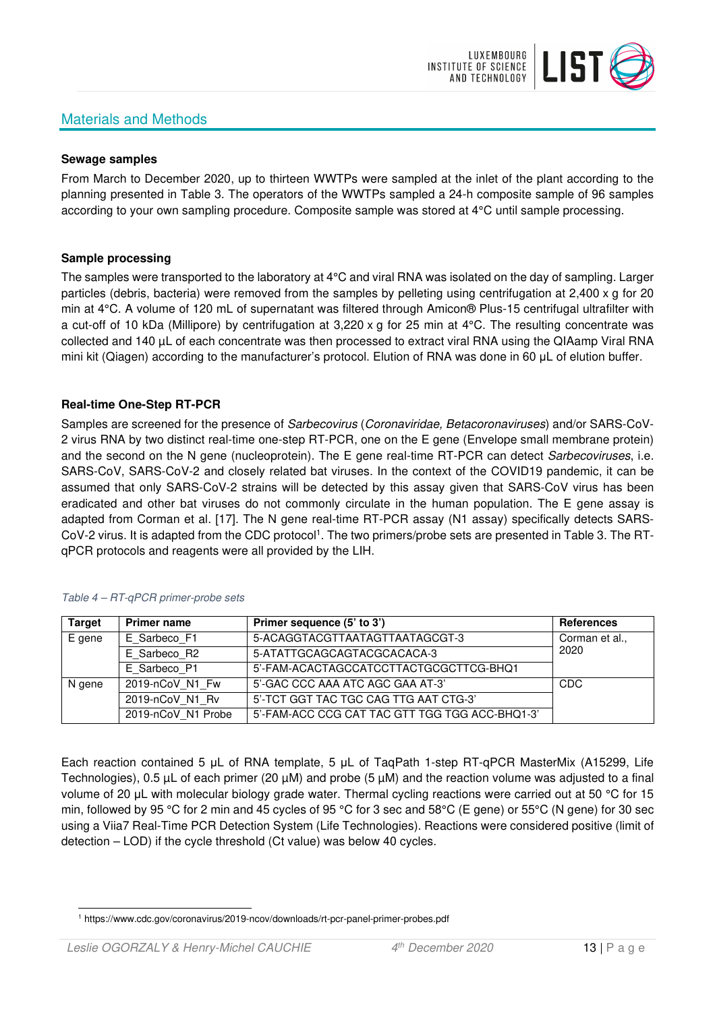# Materials and Methods



#### **Sewage samples**

From March to December 2020, up to thirteen WWTPs were sampled at the inlet of the plant according to the planning presented in Table 3. The operators of the WWTPs sampled a 24-h composite sample of 96 samples according to your own sampling procedure. Composite sample was stored at 4°C until sample processing.

#### **Sample processing**

The samples were transported to the laboratory at 4°C and viral RNA was isolated on the day of sampling. Larger particles (debris, bacteria) were removed from the samples by pelleting using centrifugation at 2,400 x g for 20 min at 4°C. A volume of 120 mL of supernatant was filtered through Amicon® Plus-15 centrifugal ultrafilter with a cut-off of 10 kDa (Millipore) by centrifugation at 3,220 x g for 25 min at 4°C. The resulting concentrate was collected and 140 µL of each concentrate was then processed to extract viral RNA using the QIAamp Viral RNA mini kit (Qiagen) according to the manufacturer's protocol. Elution of RNA was done in 60 μL of elution buffer.

### **Real-time One-Step RT-PCR**

Samples are screened for the presence of *Sarbecovirus (Coronaviridae, Betacoronaviruses*) and/or SARS-CoV-2 virus RNA by two distinct real-time one-step RT-PCR, one on the E gene (Envelope small membrane protein) and the second on the N gene (nucleoprotein). The E gene real-time RT-PCR can detect Sarbecoviruses, i.e. SARS-CoV, SARS-CoV-2 and closely related bat viruses. In the context of the COVID19 pandemic, it can be assumed that only SARS-CoV-2 strains will be detected by this assay given that SARS-CoV virus has been eradicated and other bat viruses do not commonly circulate in the human population. The E gene assay is adapted from Corman et al. [17]. The N gene real-time RT-PCR assay (N1 assay) specifically detects SARS-CoV-2 virus. It is adapted from the CDC protocol<sup>1</sup>. The two primers/probe sets are presented in Table 3. The RTqPCR protocols and reagents were all provided by the LIH.

| <b>Target</b> | <b>Primer name</b> | Primer sequence (5' to 3')                     | <b>References</b> |
|---------------|--------------------|------------------------------------------------|-------------------|
| E gene        | E Sarbeco F1       | 5-ACAGGTACGTTAATAGTTAATAGCGT-3                 | Corman et al.,    |
|               | E Sarbeco R2       | 5-ATATTGCAGCAGTACGCACACA-3                     | 2020              |
|               | E Sarbeco P1       | 5'-FAM-ACACTAGCCATCCTTACTGCGCTTCG-BHQ1         |                   |
| N gene        | 2019-nCoV N1 Fw    | 5'-GAC CCC AAA ATC AGC GAA AT-3'               | CDC               |
|               | 2019-nCoV N1 Rv    | 5'-TCT GGT TAC TGC CAG TTG AAT CTG-3'          |                   |
|               | 2019-nCoV N1 Probe | 5'-FAM-ACC CCG CAT TAC GTT TGG TGG ACC-BHQ1-3' |                   |

#### Table 4 – RT-qPCR primer-probe sets

Each reaction contained 5 μL of RNA template, 5 μL of TaqPath 1-step RT-qPCR MasterMix (A15299, Life Technologies), 0.5 µL of each primer (20 µM) and probe (5 µM) and the reaction volume was adjusted to a final volume of 20 μL with molecular biology grade water. Thermal cycling reactions were carried out at 50 °C for 15 min, followed by 95 °C for 2 min and 45 cycles of 95 °C for 3 sec and 58°C (E gene) or 55°C (N gene) for 30 sec using a Viia7 Real-Time PCR Detection System (Life Technologies). Reactions were considered positive (limit of detection – LOD) if the cycle threshold (Ct value) was below 40 cycles.

<sup>1</sup> https://www.cdc.gov/coronavirus/2019-ncov/downloads/rt-pcr-panel-primer-probes.pdf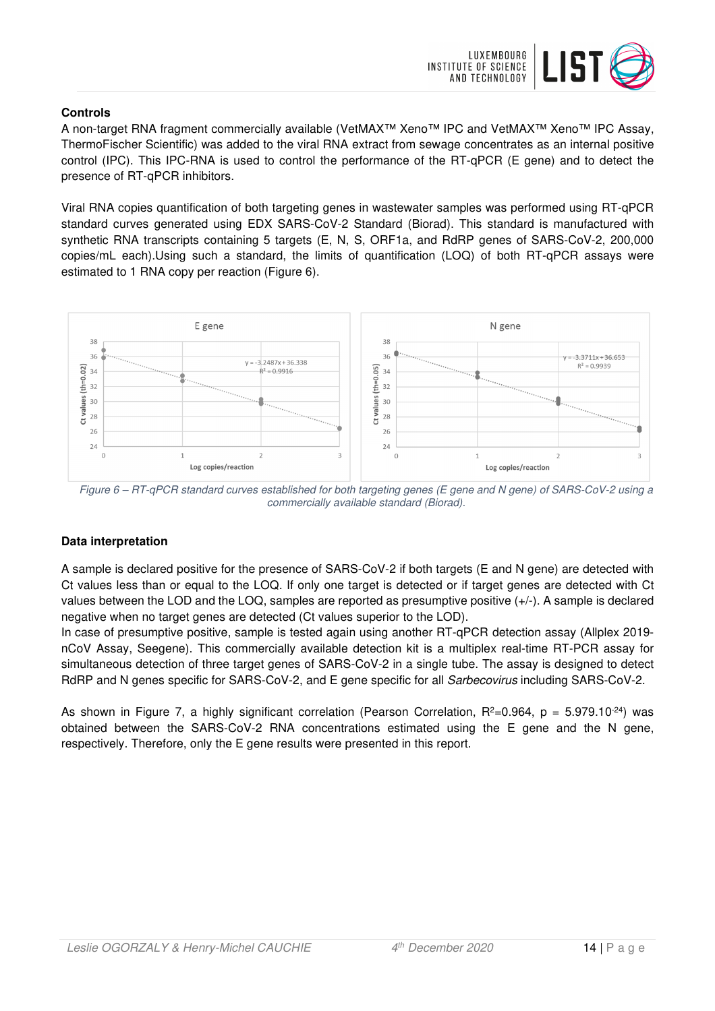

## **Controls**

A non-target RNA fragment commercially available (VetMAX™ Xeno™ IPC and VetMAX™ Xeno™ IPC Assay, ThermoFischer Scientific) was added to the viral RNA extract from sewage concentrates as an internal positive control (IPC). This IPC-RNA is used to control the performance of the RT-qPCR (E gene) and to detect the presence of RT-qPCR inhibitors.

Viral RNA copies quantification of both targeting genes in wastewater samples was performed using RT-qPCR standard curves generated using EDX SARS-CoV-2 Standard (Biorad). This standard is manufactured with synthetic RNA transcripts containing 5 targets (E, N, S, ORF1a, and RdRP genes of SARS-CoV-2, 200,000 copies/mL each).Using such a standard, the limits of quantification (LOQ) of both RT-qPCR assays were estimated to 1 RNA copy per reaction (Figure 6).



Figure 6 – RT-qPCR standard curves established for both targeting genes (E gene and N gene) of SARS-CoV-2 using a commercially available standard (Biorad).

# **Data interpretation**

A sample is declared positive for the presence of SARS-CoV-2 if both targets (E and N gene) are detected with Ct values less than or equal to the LOQ. If only one target is detected or if target genes are detected with Ct values between the LOD and the LOQ, samples are reported as presumptive positive (+/-). A sample is declared negative when no target genes are detected (Ct values superior to the LOD).

In case of presumptive positive, sample is tested again using another RT-qPCR detection assay (Allplex 2019 nCoV Assay, Seegene). This commercially available detection kit is a multiplex real-time RT-PCR assay for simultaneous detection of three target genes of SARS-CoV-2 in a single tube. The assay is designed to detect RdRP and N genes specific for SARS-CoV-2, and E gene specific for all Sarbecovirus including SARS-CoV-2.

As shown in Figure 7, a highly significant correlation (Pearson Correlation,  $R^2=0.964$ ,  $p = 5.979.10^{-24}$ ) was obtained between the SARS-CoV-2 RNA concentrations estimated using the E gene and the N gene, respectively. Therefore, only the E gene results were presented in this report.